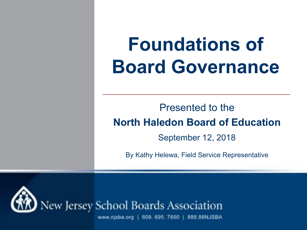# **Foundations of Board Governance**

#### Presented to the **North Haledon Board of Education**

 $\mathcal{L}_\text{max}$  and  $\mathcal{L}_\text{max}$  and  $\mathcal{L}_\text{max}$  and  $\mathcal{L}_\text{max}$  and  $\mathcal{L}_\text{max}$  and  $\mathcal{L}_\text{max}$ 

September 12, 2018

By Kathy Helewa, Field Service Representative



www.njsba.org | 609. 695. 7600 | 888.88NJSBA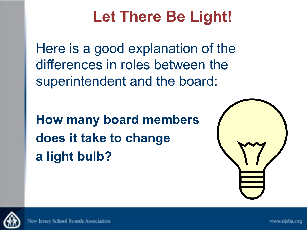### **Let There Be Light!**

Here is a good explanation of the differences in roles between the superintendent and the board:

**How many board members does it take to change a light bulb?**



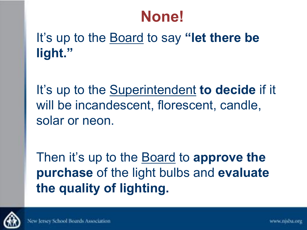#### **None!**

#### It's up to the Board to say **"let there be light."**

It's up to the Superintendent **to decide** if it will be incandescent, florescent, candle, solar or neon.

Then it's up to the Board to **approve the purchase** of the light bulbs and **evaluate the quality of lighting.**

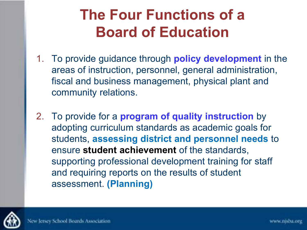#### **The Four Functions of a Board of Education**

- 1. To provide guidance through **policy development** in the areas of instruction, personnel, general administration, fiscal and business management, physical plant and community relations.
- 2. To provide for a **program of quality instruction** by adopting curriculum standards as academic goals for students, **assessing district and personnel needs** to ensure **student achievement** of the standards, supporting professional development training for staff and requiring reports on the results of student assessment. **(Planning)**

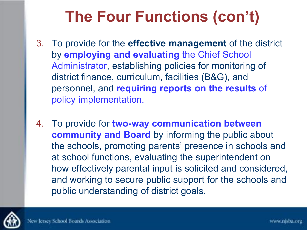## **The Four Functions (con't)**

- 3. To provide for the **effective management** of the district by **employing and evaluating** the Chief School Administrator, establishing policies for monitoring of district finance, curriculum, facilities (B&G), and personnel, and **requiring reports on the results** of policy implementation.
- 4. To provide for **two-way communication between community and Board** by informing the public about the schools, promoting parents' presence in schools and at school functions, evaluating the superintendent on how effectively parental input is solicited and considered, and working to secure public support for the schools and public understanding of district goals.

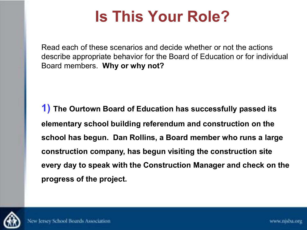Read each of these scenarios and decide whether or not the actions describe appropriate behavior for the Board of Education or for individual Board members. **Why or why not?** 

**1) The Ourtown Board of Education has successfully passed its elementary school building referendum and construction on the school has begun. Dan Rollins, a Board member who runs a large construction company, has begun visiting the construction site every day to speak with the Construction Manager and check on the progress of the project.**

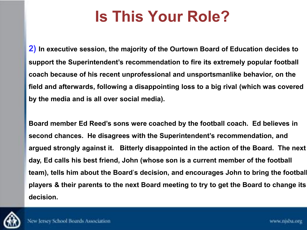**2) In executive session, the majority of the Ourtown Board of Education decides to support the Superintendent's recommendation to fire its extremely popular football coach because of his recent unprofessional and unsportsmanlike behavior, on the field and afterwards, following a disappointing loss to a big rival (which was covered by the media and is all over social media).** 

**Board member Ed Reed's sons were coached by the football coach. Ed believes in second chances. He disagrees with the Superintendent's recommendation, and argued strongly against it. Bitterly disappointed in the action of the Board. The next day, Ed calls his best friend, John (whose son is a current member of the football team), tells him about the Board**'**s decision, and encourages John to bring the football players & their parents to the next Board meeting to try to get the Board to change its decision.**

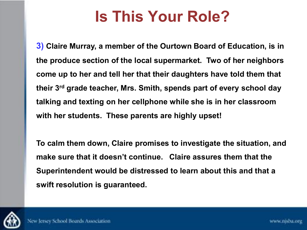**3) Claire Murray, a member of the Ourtown Board of Education, is in the produce section of the local supermarket. Two of her neighbors come up to her and tell her that their daughters have told them that their 3rd grade teacher, Mrs. Smith, spends part of every school day talking and texting on her cellphone while she is in her classroom with her students. These parents are highly upset!** 

**To calm them down, Claire promises to investigate the situation, and make sure that it doesn't continue. Claire assures them that the Superintendent would be distressed to learn about this and that a swift resolution is guaranteed.** 

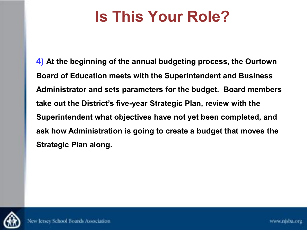**4) At the beginning of the annual budgeting process, the Ourtown Board of Education meets with the Superintendent and Business Administrator and sets parameters for the budget. Board members take out the District's five-year Strategic Plan, review with the Superintendent what objectives have not yet been completed, and ask how Administration is going to create a budget that moves the Strategic Plan along.** 

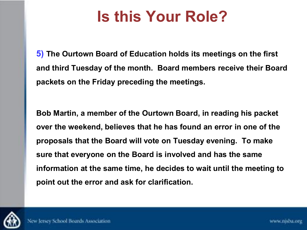**5) The Ourtown Board of Education holds its meetings on the first and third Tuesday of the month. Board members receive their Board packets on the Friday preceding the meetings.** 

**Bob Martin, a member of the Ourtown Board, in reading his packet over the weekend, believes that he has found an error in one of the proposals that the Board will vote on Tuesday evening. To make sure that everyone on the Board is involved and has the same information at the same time, he decides to wait until the meeting to point out the error and ask for clarification.**

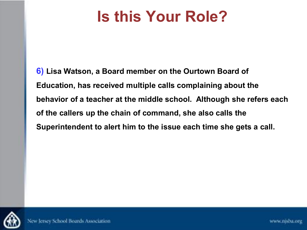**6) Lisa Watson, a Board member on the Ourtown Board of Education, has received multiple calls complaining about the behavior of a teacher at the middle school. Although she refers each of the callers up the chain of command, she also calls the Superintendent to alert him to the issue each time she gets a call.** 

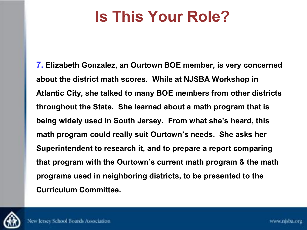**7. Elizabeth Gonzalez, an Ourtown BOE member, is very concerned about the district math scores. While at NJSBA Workshop in Atlantic City, she talked to many BOE members from other districts throughout the State. She learned about a math program that is being widely used in South Jersey. From what she's heard, this math program could really suit Ourtown's needs. She asks her Superintendent to research it, and to prepare a report comparing that program with the Ourtown's current math program & the math programs used in neighboring districts, to be presented to the Curriculum Committee.** 

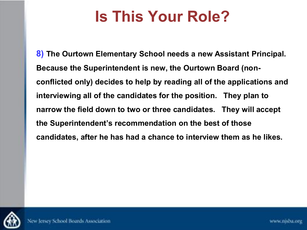**8) The Ourtown Elementary School needs a new Assistant Principal. Because the Superintendent is new, the Ourtown Board (nonconflicted only) decides to help by reading all of the applications and interviewing all of the candidates for the position. They plan to narrow the field down to two or three candidates. They will accept the Superintendent's recommendation on the best of those candidates, after he has had a chance to interview them as he likes.** 

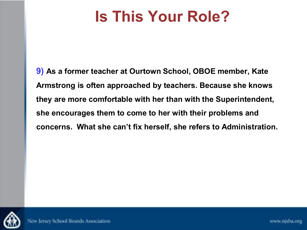**9) As a former teacher at Ourtown School, OBOE member, Kate Armstrong is often approached by teachers. Because she knows they are more comfortable with her than with the Superintendent, she encourages them to come to her with their problems and concerns. What she can't fix herself, she refers to Administration.**

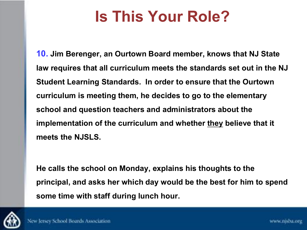**10. Jim Berenger, an Ourtown Board member, knows that NJ State law requires that all curriculum meets the standards set out in the NJ Student Learning Standards. In order to ensure that the Ourtown curriculum is meeting them, he decides to go to the elementary school and question teachers and administrators about the implementation of the curriculum and whether they believe that it meets the NJSLS.** 

**He calls the school on Monday, explains his thoughts to the principal, and asks her which day would be the best for him to spend some time with staff during lunch hour.**

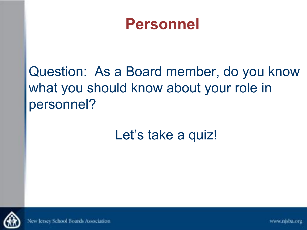#### **Personnel**

Question: As a Board member, do you know what you should know about your role in personnel?

#### Let's take a quiz!



New Jersey School Boards Association

www.nisba.org